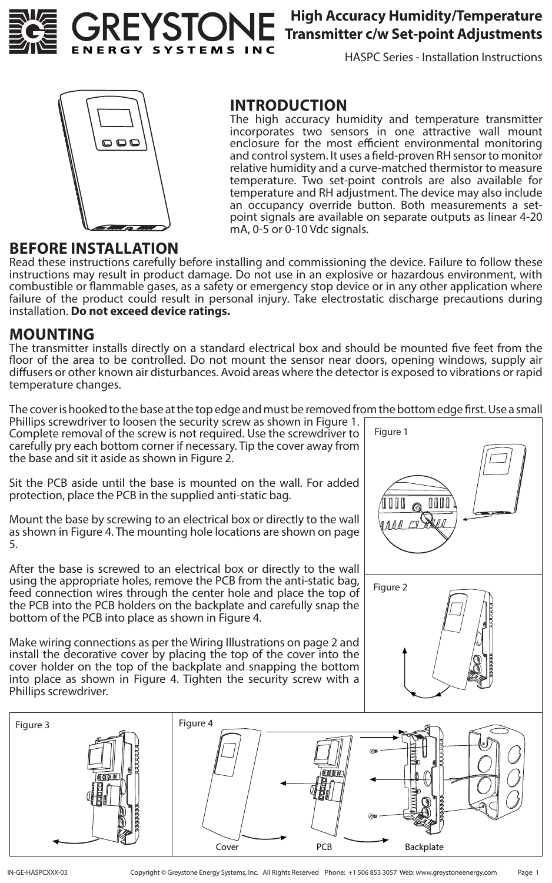

### **High Accuracy Humidity/Temperature Transmitter c/w Set-point Adjustments**

HASPC Series - Installation Instructions



### **INTRODUCTION**

The high accuracy humidity and temperature transmitter incorporates two sensors in one attractive wall mount enclosure for the most efficient environmental monitoring and control system. It uses a field-proven RH sensor to monitor relative humidity and a curve-matched thermistor to measure temperature. Two set-point controls are also available for temperature and RH adjustment. The device may also include an occupancy override button. Both measurements a setpoint signals are available on separate outputs as linear 4-20 mA, 0-5 or 0-10 Vdc signals.

### **BEFORE INSTALLATION**

Read these instructions carefully before installing and commissioning the device. Failure to follow these instructions may result in product damage. Do not use in an explosive or hazardous environment, with combustible or flammable gases, as a safety or emergency stop device or in any other application where failure of the product could result in personal injury. Take electrostatic discharge precautions during installation. **Do not exceed device ratings.**

### **MOUNTING**

The transmitter installs directly on a standard electrical box and should be mounted five feet from the floor of the area to be controlled. Do not mount the sensor near doors, opening windows, supply air diffusers or other known air disturbances. Avoid areas where the detector is exposed to vibrations or rapid temperature changes.

The cover is hooked to the base at the top edge and must be removed from the bottom edge first. Use a small

Phillips screwdriver to loosen the security screw as shown in Figure 1. Complete removal of the screw is not required. Use the screwdriver to carefully pry each bottom corner if necessary. Tip the cover away from the base and sit it aside as shown in Figure 2.

Sit the PCB aside until the base is mounted on the wall. For added protection, place the PCB in the supplied anti-static bag.

Mount the base by screwing to an electrical box or directly to the wall as shown in Figure 4. The mounting hole locations are shown on page 5.

After the base is screwed to an electrical box or directly to the wall using the appropriate holes, remove the PCB from the anti-static bag, feed connection wires through the center hole and place the top of the PCB into the PCB holders on the backplate and carefully snap the bottom of the PCB into place as shown in Figure 4.

Make wiring connections as per the Wiring Illustrations on page 2 and install the decorative cover by placing the top of the cover into the cover holder on the top of the backplate and snapping the bottom into place as shown in Figure 4. Tighten the security screw with a Phillips screwdriver.





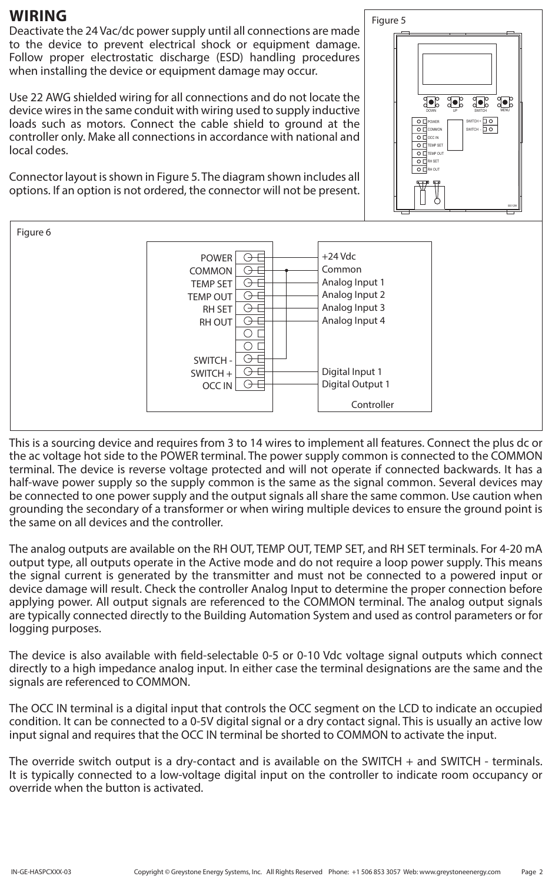### **WIRING**

Deactivate the 24 Vac/dc power supply until all connections are made to the device to prevent electrical shock or equipment damage. Follow proper electrostatic discharge (ESD) handling procedures when installing the device or equipment damage may occur.

Use 22 AWG shielded wiring for all connections and do not locate the device wires in the same conduit with wiring used to supply inductive loads such as motors. Connect the cable shield to ground at the controller only. Make all connections in accordance with national and local codes.

Connector layout is shown in Figure 5. The diagram shown includes all options. If an option is not ordered, the connector will not be present.



Figure 5

0001299

MENU

DOWN UP SWITCH

30° 30°

SWITCH - SWITCH +

TEMP SET EMP OUT RH OUT RH SET

POWER COMMON O **O**CC IN

 $\circ$  $\circ$   $\Box$  $\circ$  $\overline{\circ}$  $\circ$ 

This is a sourcing device and requires from 3 to 14 wires to implement all features. Connect the plus dc or the ac voltage hot side to the POWER terminal. The power supply common is connected to the COMMON terminal. The device is reverse voltage protected and will not operate if connected backwards. It has a half-wave power supply so the supply common is the same as the signal common. Several devices may be connected to one power supply and the output signals all share the same common. Use caution when grounding the secondary of a transformer or when wiring multiple devices to ensure the ground point is the same on all devices and the controller.

The analog outputs are available on the RH OUT, TEMP OUT, TEMP SET, and RH SET terminals. For 4-20 mA output type, all outputs operate in the Active mode and do not require a loop power supply. This means the signal current is generated by the transmitter and must not be connected to a powered input or device damage will result. Check the controller Analog Input to determine the proper connection before applying power. All output signals are referenced to the COMMON terminal. The analog output signals are typically connected directly to the Building Automation System and used as control parameters or for logging purposes.

The device is also available with field-selectable 0-5 or 0-10 Vdc voltage signal outputs which connect directly to a high impedance analog input. In either case the terminal designations are the same and the signals are referenced to COMMON.

The OCC IN terminal is a digital input that controls the OCC segment on the LCD to indicate an occupied condition. It can be connected to a 0-5V digital signal or a dry contact signal. This is usually an active low input signal and requires that the OCC IN terminal be shorted to COMMON to activate the input.

The override switch output is a dry-contact and is available on the SWITCH + and SWITCH - terminals. It is typically connected to a low-voltage digital input on the controller to indicate room occupancy or override when the button is activated.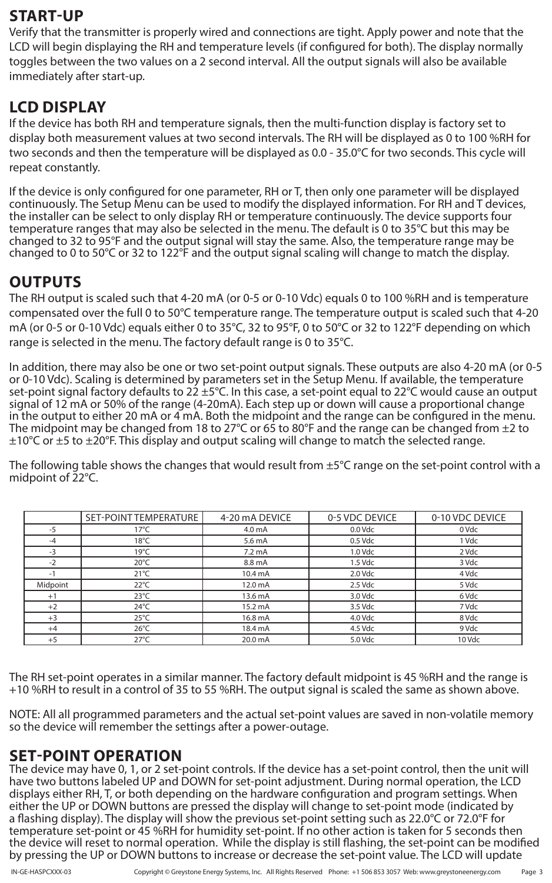## **START-UP**

Verify that the transmitter is properly wired and connections are tight. Apply power and note that the LCD will begin displaying the RH and temperature levels (if configured for both). The display normally toggles between the two values on a 2 second interval. All the output signals will also be available immediately after start-up.

# **LCD DISPLAY**

If the device has both RH and temperature signals, then the multi-function display is factory set to display both measurement values at two second intervals. The RH will be displayed as 0 to 100 %RH for two seconds and then the temperature will be displayed as 0.0 - 35.0°C for two seconds. This cycle will repeat constantly.

If the device is only configured for one parameter, RH or T, then only one parameter will be displayed continuously. The Setup Menu can be used to modify the displayed information. For RH and T devices, the installer can be select to only display RH or temperature continuously. The device supports four temperature ranges that may also be selected in the menu. The default is 0 to 35°C but this may be changed to 32 to 95°F and the output signal will stay the same. Also, the temperature range may be changed to 0 to 50°C or 32 to 122°F and the output signal scaling will change to match the display.

# **OUTPUTS**

The RH output is scaled such that 4-20 mA (or 0-5 or 0-10 Vdc) equals 0 to 100 %RH and is temperature compensated over the full 0 to 50°C temperature range. The temperature output is scaled such that 4-20 mA (or 0-5 or 0-10 Vdc) equals either 0 to 35°C, 32 to 95°F, 0 to 50°C or 32 to 122°F depending on which range is selected in the menu. The factory default range is 0 to 35°C.

In addition, there may also be one or two set-point output signals. These outputs are also 4-20 mA (or 0-5 or 0-10 Vdc). Scaling is determined by parameters set in the Setup Menu. If available, the temperature set-point signal factory defaults to 22  $\pm$ 5°C. In this case, a set-point equal to 22°C would cause an output signal of 12 mA or 50% of the range (4-20mA). Each step up or down will cause a proportional change in the output to either 20 mA or 4 mA. Both the midpoint and the range can be configured in the menu. The midpoint may be changed from 18 to 27°C or 65 to 80°F and the range can be changed from  $\pm 2$  to  $\pm 10^{\circ}$ C or  $\pm 5$  to  $\pm 20^{\circ}$ F. This display and output scaling will change to match the selected range.

The following table shows the changes that would result from  $\pm 5^{\circ}$ C range on the set-point control with a midpoint of 22°C.

|          | SET-POINT TEMPERATURE | 4-20 mA DEVICE     | 0-5 VDC DEVICE | 0-10 VDC DEVICE |
|----------|-----------------------|--------------------|----------------|-----------------|
| $-5$     | $17^{\circ}$ C        | 4.0 <sub>m</sub> A | 0.0 Vdc        | 0 Vdc           |
| $-4$     | $18^{\circ}$ C        | 5.6 mA             | 0.5 Vdc        | 1 Vdc           |
| $-3$     | $19^{\circ}$ C        | $7.2 \text{ mA}$   | 1.0 Vdc        | 2 Vdc           |
| $-2$     | $20^{\circ}$ C        | 8.8 mA             | $1.5$ Vdc      | 3 Vdc           |
|          | $21^{\circ}$ C        | 10.4 mA            | 2.0 Vdc        | 4 Vdc           |
| Midpoint | $22^{\circ}$ C        | 12.0 mA            | 2.5 Vdc        | 5 Vdc           |
| $+1$     | $23^{\circ}$ C        | 13.6 mA            | 3.0 Vdc        | 6 Vdc           |
| $+2$     | $24^{\circ}$ C        | 15.2 mA            | 3.5 Vdc        | 7 Vdc           |
| $+3$     | $25^{\circ}$ C        | 16.8 mA            | 4.0 Vdc        | 8 Vdc           |
| $+4$     | $26^{\circ}$ C        | 18.4 mA            | 4.5 Vdc        | 9 Vdc           |
| $+5$     | $27^{\circ}$ C        | 20.0 mA            | 5.0 Vdc        | 10 Vdc          |

The RH set-point operates in a similar manner. The factory default midpoint is 45 %RH and the range is +10 %RH to result in a control of 35 to 55 %RH. The output signal is scaled the same as shown above.

NOTE: All all programmed parameters and the actual set-point values are saved in non-volatile memory so the device will remember the settings after a power-outage.

### **SET-POINT OPERATION**

The device may have 0, 1, or 2 set-point controls. If the device has a set-point control, then the unit will have two buttons labeled UP and DOWN for set-point adjustment. During normal operation, the LCD displays either RH, T, or both depending on the hardware configuration and program settings. When either the UP or DOWN buttons are pressed the display will change to set-point mode (indicated by a flashing display). The display will show the previous set-point setting such as 22.0°C or 72.0°F for temperature set-point or 45 %RH for humidity set-point. If no other action is taken for 5 seconds then the device will reset to normal operation. While the display is still flashing, the set-point can be modified by pressing the UP or DOWN buttons to increase or decrease the set-point value. The LCD will update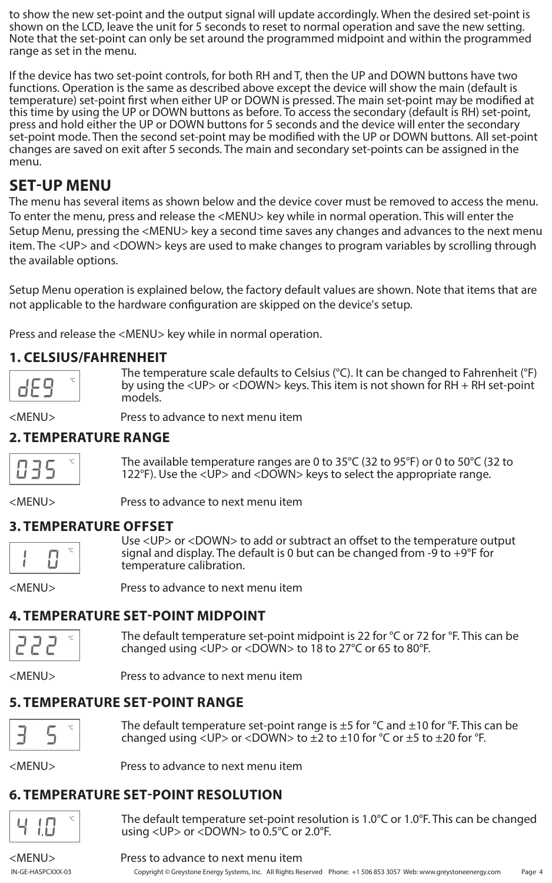to show the new set-point and the output signal will update accordingly. When the desired set-point is shown on the LCD, leave the unit for 5 seconds to reset to normal operation and save the new setting. Note that the set-point can only be set around the programmed midpoint and within the programmed range as set in the menu.

If the device has two set-point controls, for both RH and T, then the UP and DOWN buttons have two functions. Operation is the same as described above except the device will show the main (default is temperature) set-point first when either UP or DOWN is pressed. The main set-point may be modified at this time by using the UP or DOWN buttons as before. To access the secondary (default is RH) set-point, press and hold either the UP or DOWN buttons for 5 seconds and the device will enter the secondary set-point mode. Then the second set-point may be modified with the UP or DOWN buttons. All set-point changes are saved on exit after 5 seconds. The main and secondary set-points can be assigned in the menu.

# **SET-UP MENU**

The menu has several items as shown below and the device cover must be removed to access the menu. To enter the menu, press and release the <MENU> key while in normal operation. This will enter the Setup Menu, pressing the <MENU> key a second time saves any changes and advances to the next menu item. The <UP> and <DOWN> keys are used to make changes to program variables by scrolling through the available options.

Setup Menu operation is explained below, the factory default values are shown. Note that items that are not applicable to the hardware configuration are skipped on the device's setup.

Press and release the <MENU> key while in normal operation.

### **1. CELSIUS/FAHRENHEIT**



The temperature scale defaults to Celsius (°C). It can be changed to Fahrenheit (°F) by using the <UP> or <DOWN> keys. This item is not shown for RH + RH set-point models.

<MENU> Press to advance to next menu item

### **2. TEMPERATURE RANGE**



The available temperature ranges are 0 to 35°C (32 to 95°F) or 0 to 50°C (32 to 122°F). Use the <UP> and <DOWN> keys to select the appropriate range.

<MENU> Press to advance to next menu item

### **3. TEMPERATURE OFFSET**



22

Use <UP> or <DOWN> to add or subtract an offset to the temperature output signal and display. The default is 0 but can be changed from -9 to +9°F for temperature calibration.

<MENU> Press to advance to next menu item

### **4. TEMPERATURE SET-POINT MIDPOINT**

The default temperature set-point midpoint is 22 for °C or 72 for °F. This can be changed using <UP> or <DOWN> to 18 to 27°C or 65 to 80°F. °C

<MENU> Press to advance to next menu item

### **5. TEMPERATURE SET-POINT RANGE**

|--|--|--|

The default temperature set-point range is  $\pm 5$  for  $\degree$ C and  $\pm 10$  for  $\degree$ F. This can be changed using  $\langle UP \rangle$  or  $\langle DOWN \rangle$  to  $\pm 2$  to  $\pm 10$  for  $\degree C$  or  $\pm 5$  to  $\pm 20$  for  $\degree F$ .

<MENU> Press to advance to next menu item

# **6. TEMPERATURE SET-POINT RESOLUTION**



The default temperature set-point resolution is 1.0°C or 1.0°F. This can be changed using <UP> or <DOWN> to 0.5°C or 2.0°F.

### <MENU> Press to advance to next menu item

Page 4 IN-GE-HASPCXXX-03 Copyright © Greystone Energy Systems, Inc. All Rights Reserved Phone: +1 506 853 3057 Web: www.greystoneenergy.com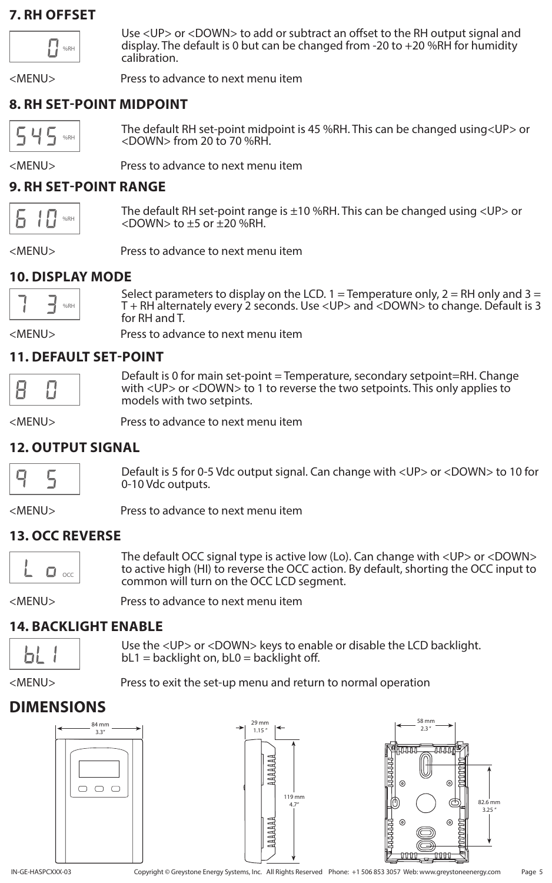### **7. RH OFFSET**



Use <UP> or <DOWN> to add or subtract an offset to the RH output signal and display. The default is 0 but can be changed from -20 to +20 %RH for humidity calibration.

<MENU> Press to advance to next menu item

### **8. RH SET-POINT MIDPOINT**

45 %RH The default RH set-point midpoint is 45 %RH. This can be changed using<UP> or <DOWN> from 20 to 70 %RH.

<MENU> Press to advance to next menu item

### **9. RH SET-POINT RANGE**

%RH

The default RH set-point range is ±10 %RH. This can be changed using <UP> or  $<$ DOWN $>$  to  $\pm$ 5 or  $\pm$ 20 %RH.

<MENU> Press to advance to next menu item

### **10. DISPLAY MODE**



Select parameters to display on the LCD. 1 = Temperature only, 2 = RH only and 3 = T + RH alternately every 2 seconds. Use <UP> and <DOWN> to change. Default is 3 for RH and T.

<MENU> Press to advance to next menu item

### **11. DEFAULT SET-POINT**

Default is 0 for main set-point = Temperature, secondary setpoint=RH. Change with <UP> or <DOWN> to 1 to reverse the two setpoints. This only applies to models with two setpints.

<MENU> Press to advance to next menu item

### **12. OUTPUT SIGNAL**



Default is 5 for 0-5 Vdc output signal. Can change with <UP> or <DOWN> to 10 for 0-10 Vdc outputs.

<MENU> Press to advance to next menu item

### **13. OCC REVERSE**



The default OCC signal type is active low (Lo). Can change with <UP> or <DOWN> to active high (HI) to reverse the OCC action. By default, shorting the OCC input to common will turn on the OCC LCD segment.

<MENU> Press to advance to next menu item

### **14. BACKLIGHT ENABLE**

bL

Use the <UP> or <DOWN> keys to enable or disable the LCD backlight.  $bL1 =$  backlight on,  $bL0 =$  backlight off.

<MENU> Press to exit the set-up menu and return to normal operation

# **DIMENSIONS**